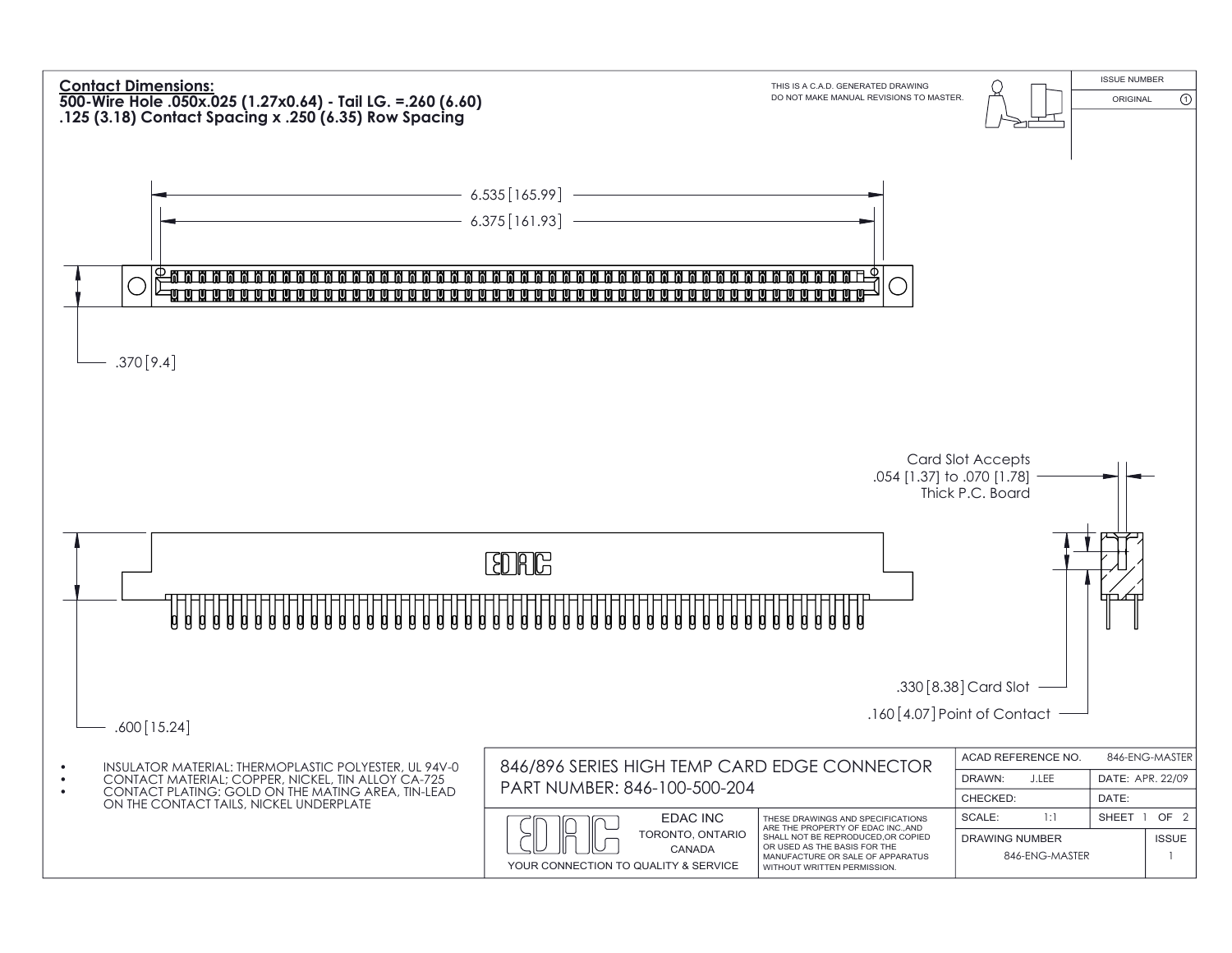